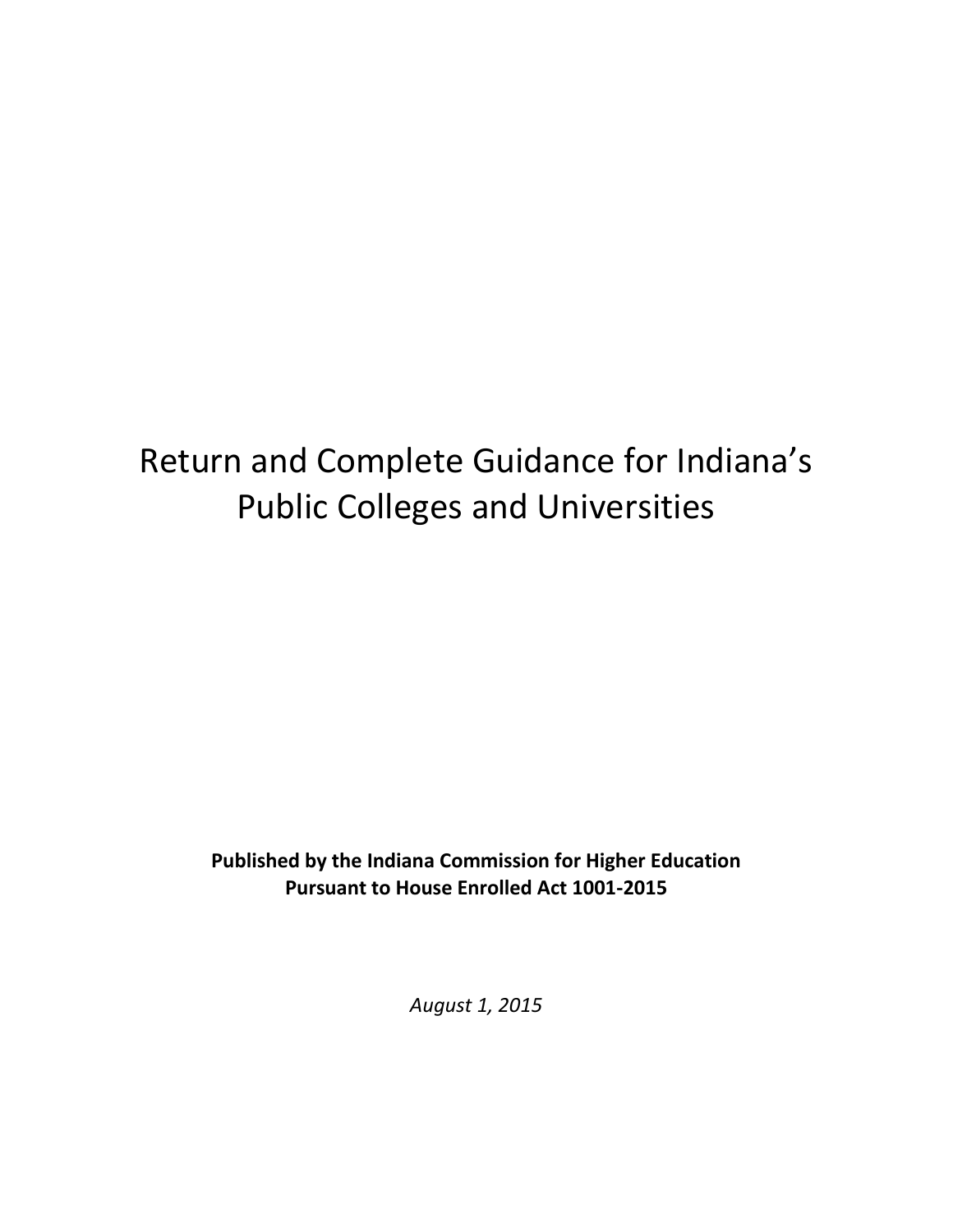# Return and Complete Guidance for Indiana's Public Colleges and Universities

**Published by the Indiana Commission for Higher Education Pursuant to House Enrolled Act 1001-2015**

*August 1, 2015*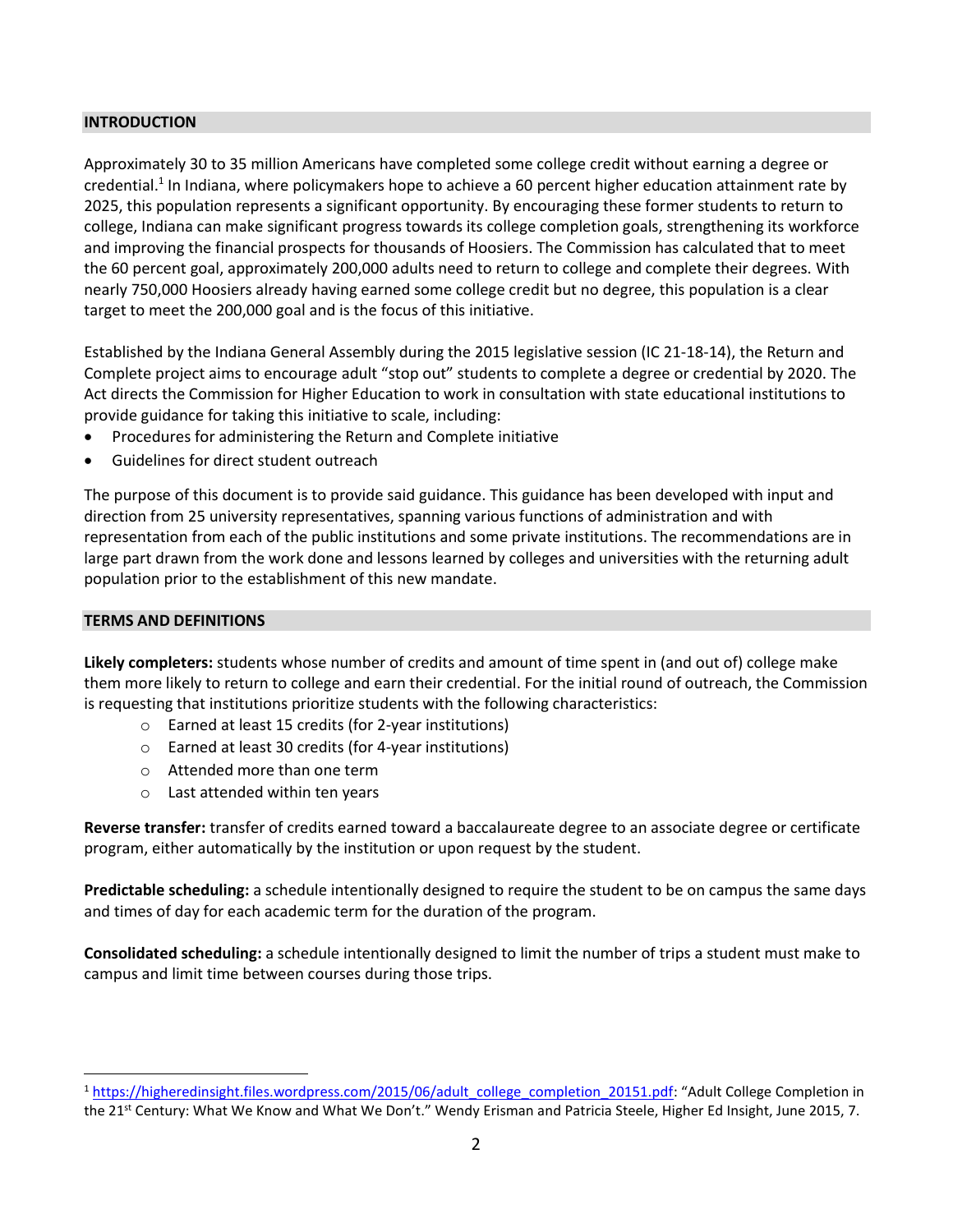#### **INTRODUCTION**

Approximately 30 to 35 million Americans have completed some college credit without earning a degree or credential.<sup>1</sup> In Indiana, where policymakers hope to achieve a 60 percent higher education attainment rate by 2025, this population represents a significant opportunity. By encouraging these former students to return to college, Indiana can make significant progress towards its college completion goals, strengthening its workforce and improving the financial prospects for thousands of Hoosiers. The Commission has calculated that to meet the 60 percent goal, approximately 200,000 adults need to return to college and complete their degrees. With nearly 750,000 Hoosiers already having earned some college credit but no degree, this population is a clear target to meet the 200,000 goal and is the focus of this initiative.

Established by the Indiana General Assembly during the 2015 legislative session (IC 21-18-14), the Return and Complete project aims to encourage adult "stop out" students to complete a degree or credential by 2020. The Act directs the Commission for Higher Education to work in consultation with state educational institutions to provide guidance for taking this initiative to scale, including:

- Procedures for administering the Return and Complete initiative
- Guidelines for direct student outreach

The purpose of this document is to provide said guidance. This guidance has been developed with input and direction from 25 university representatives, spanning various functions of administration and with representation from each of the public institutions and some private institutions. The recommendations are in large part drawn from the work done and lessons learned by colleges and universities with the returning adult population prior to the establishment of this new mandate.

#### **TERMS AND DEFINITIONS**

l

**Likely completers:** students whose number of credits and amount of time spent in (and out of) college make them more likely to return to college and earn their credential. For the initial round of outreach, the Commission is requesting that institutions prioritize students with the following characteristics:

- o Earned at least 15 credits (for 2-year institutions)
- o Earned at least 30 credits (for 4-year institutions)
- o Attended more than one term
- o Last attended within ten years

**Reverse transfer:** transfer of credits earned toward a baccalaureate degree to an associate degree or certificate program, either automatically by the institution or upon request by the student.

**Predictable scheduling:** a schedule intentionally designed to require the student to be on campus the same days and times of day for each academic term for the duration of the program.

**Consolidated scheduling:** a schedule intentionally designed to limit the number of trips a student must make to campus and limit time between courses during those trips.

<sup>&</sup>lt;sup>1</sup> [https://higheredinsight.files.wordpress.com/2015/06/adult\\_college\\_completion\\_20151.pdf](https://higheredinsight.files.wordpress.com/2015/06/adult_college_completion_20151.pdf): "Adult College Completion in the 21<sup>st</sup> Century: What We Know and What We Don't." Wendy Erisman and Patricia Steele, Higher Ed Insight, June 2015, 7.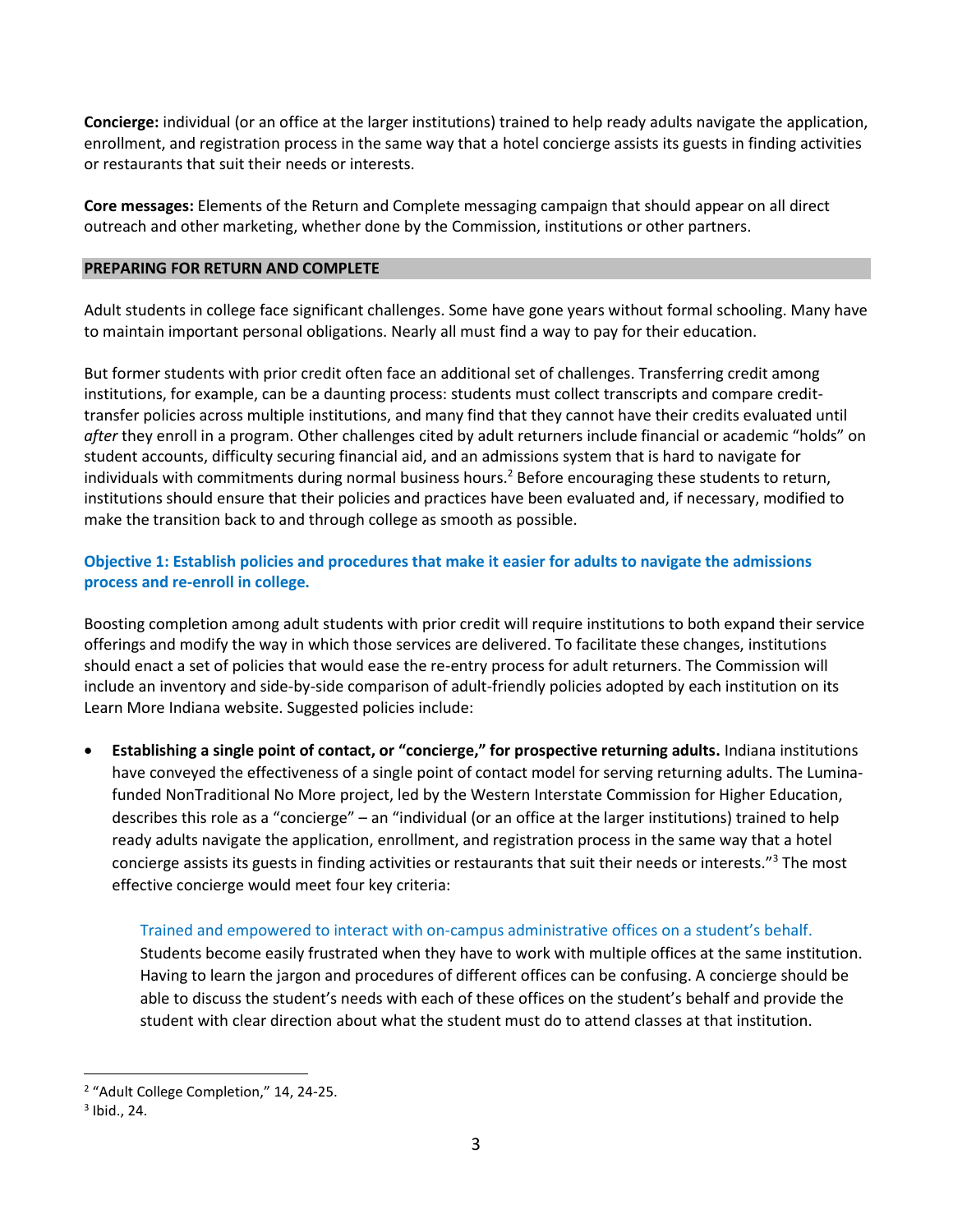**Concierge:** individual (or an office at the larger institutions) trained to help ready adults navigate the application, enrollment, and registration process in the same way that a hotel concierge assists its guests in finding activities or restaurants that suit their needs or interests.

**Core messages:** Elements of the Return and Complete messaging campaign that should appear on all direct outreach and other marketing, whether done by the Commission, institutions or other partners.

#### **PREPARING FOR RETURN AND COMPLETE**

Adult students in college face significant challenges. Some have gone years without formal schooling. Many have to maintain important personal obligations. Nearly all must find a way to pay for their education.

But former students with prior credit often face an additional set of challenges. Transferring credit among institutions, for example, can be a daunting process: students must collect transcripts and compare credittransfer policies across multiple institutions, and many find that they cannot have their credits evaluated until *after* they enroll in a program. Other challenges cited by adult returners include financial or academic "holds" on student accounts, difficulty securing financial aid, and an admissions system that is hard to navigate for individuals with commitments during normal business hours.<sup>2</sup> Before encouraging these students to return, institutions should ensure that their policies and practices have been evaluated and, if necessary, modified to make the transition back to and through college as smooth as possible.

# **Objective 1: Establish policies and procedures that make it easier for adults to navigate the admissions process and re-enroll in college.**

Boosting completion among adult students with prior credit will require institutions to both expand their service offerings and modify the way in which those services are delivered. To facilitate these changes, institutions should enact a set of policies that would ease the re-entry process for adult returners. The Commission will include an inventory and side-by-side comparison of adult-friendly policies adopted by each institution on its Learn More Indiana website. Suggested policies include:

 **Establishing a single point of contact, or "concierge," for prospective returning adults.** Indiana institutions have conveyed the effectiveness of a single point of contact model for serving returning adults. The Luminafunded NonTraditional No More project, led by the Western Interstate Commission for Higher Education, describes this role as a "concierge" – an "individual (or an office at the larger institutions) trained to help ready adults navigate the application, enrollment, and registration process in the same way that a hotel concierge assists its guests in finding activities or restaurants that suit their needs or interests."<sup>3</sup> The most effective concierge would meet four key criteria:

## Trained and empowered to interact with on-campus administrative offices on a student's behalf.

Students become easily frustrated when they have to work with multiple offices at the same institution. Having to learn the jargon and procedures of different offices can be confusing. A concierge should be able to discuss the student's needs with each of these offices on the student's behalf and provide the student with clear direction about what the student must do to attend classes at that institution.

l

<sup>&</sup>lt;sup>2</sup> "Adult College Completion," 14, 24-25.

 $3$  Ibid., 24.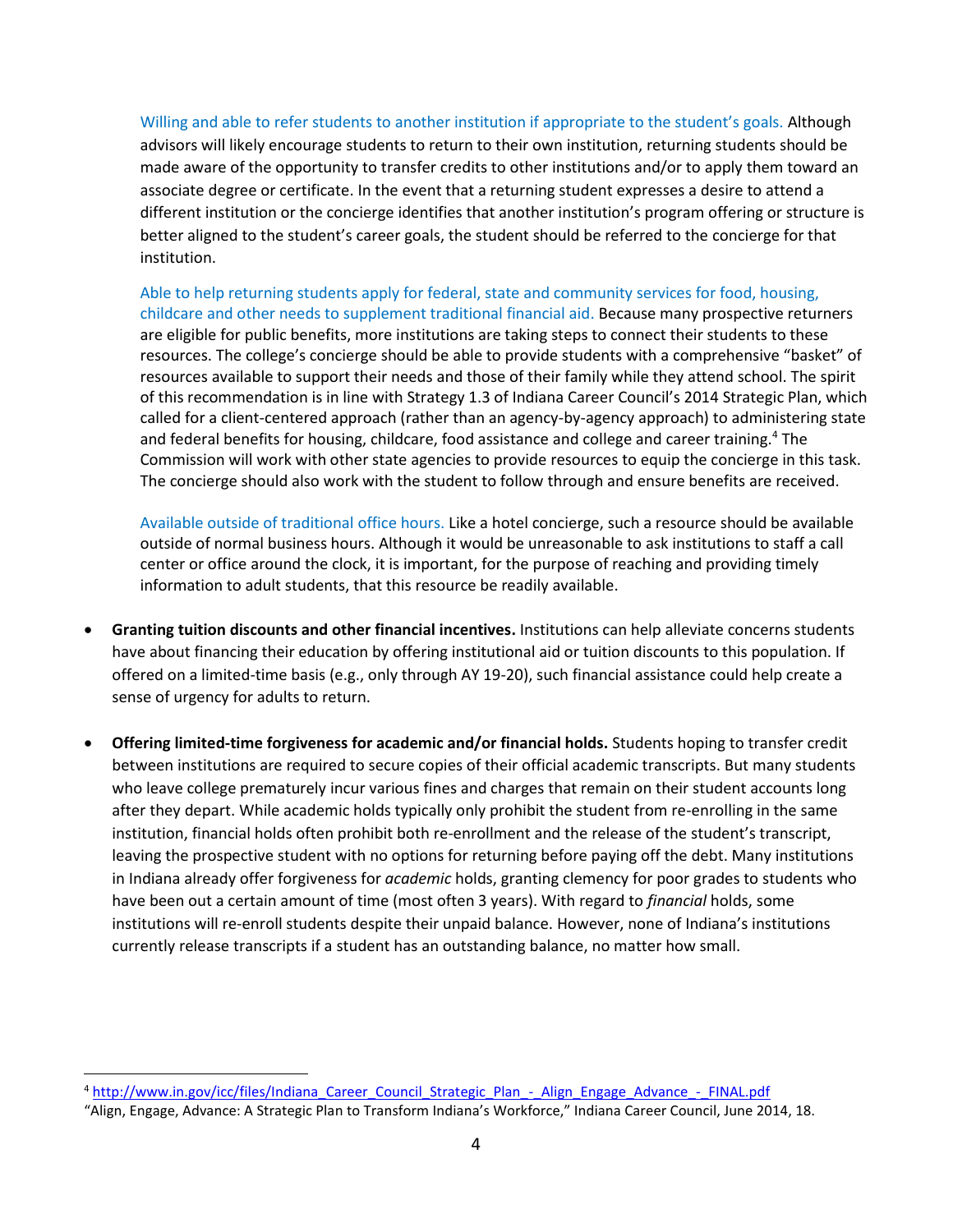Willing and able to refer students to another institution if appropriate to the student's goals. Although advisors will likely encourage students to return to their own institution, returning students should be made aware of the opportunity to transfer credits to other institutions and/or to apply them toward an associate degree or certificate. In the event that a returning student expresses a desire to attend a different institution or the concierge identifies that another institution's program offering or structure is better aligned to the student's career goals, the student should be referred to the concierge for that institution.

Able to help returning students apply for federal, state and community services for food, housing, childcare and other needs to supplement traditional financial aid. Because many prospective returners are eligible for public benefits, more institutions are taking steps to connect their students to these resources. The college's concierge should be able to provide students with a comprehensive "basket" of resources available to support their needs and those of their family while they attend school. The spirit of this recommendation is in line with Strategy 1.3 of Indiana Career Council's 2014 Strategic Plan, which called for a client-centered approach (rather than an agency-by-agency approach) to administering state and federal benefits for housing, childcare, food assistance and college and career training.<sup>4</sup> The Commission will work with other state agencies to provide resources to equip the concierge in this task. The concierge should also work with the student to follow through and ensure benefits are received.

Available outside of traditional office hours. Like a hotel concierge, such a resource should be available outside of normal business hours. Although it would be unreasonable to ask institutions to staff a call center or office around the clock, it is important, for the purpose of reaching and providing timely information to adult students, that this resource be readily available.

- **Granting tuition discounts and other financial incentives.** Institutions can help alleviate concerns students have about financing their education by offering institutional aid or tuition discounts to this population. If offered on a limited-time basis (e.g., only through AY 19-20), such financial assistance could help create a sense of urgency for adults to return.
- **Offering limited-time forgiveness for academic and/or financial holds.** Students hoping to transfer credit between institutions are required to secure copies of their official academic transcripts. But many students who leave college prematurely incur various fines and charges that remain on their student accounts long after they depart. While academic holds typically only prohibit the student from re-enrolling in the same institution, financial holds often prohibit both re-enrollment and the release of the student's transcript, leaving the prospective student with no options for returning before paying off the debt. Many institutions in Indiana already offer forgiveness for *academic* holds, granting clemency for poor grades to students who have been out a certain amount of time (most often 3 years). With regard to *financial* holds, some institutions will re-enroll students despite their unpaid balance. However, none of Indiana's institutions currently release transcripts if a student has an outstanding balance, no matter how small.

l

<sup>4</sup> [http://www.in.gov/icc/files/Indiana\\_Career\\_Council\\_Strategic\\_Plan\\_-\\_Align\\_Engage\\_Advance\\_-\\_FINAL.pdf](http://www.in.gov/icc/files/Indiana_Career_Council_Strategic_Plan_-_Align_Engage_Advance_-_FINAL.pdf)

<sup>&</sup>quot;Align, Engage, Advance: A Strategic Plan to Transform Indiana's Workforce," Indiana Career Council, June 2014, 18.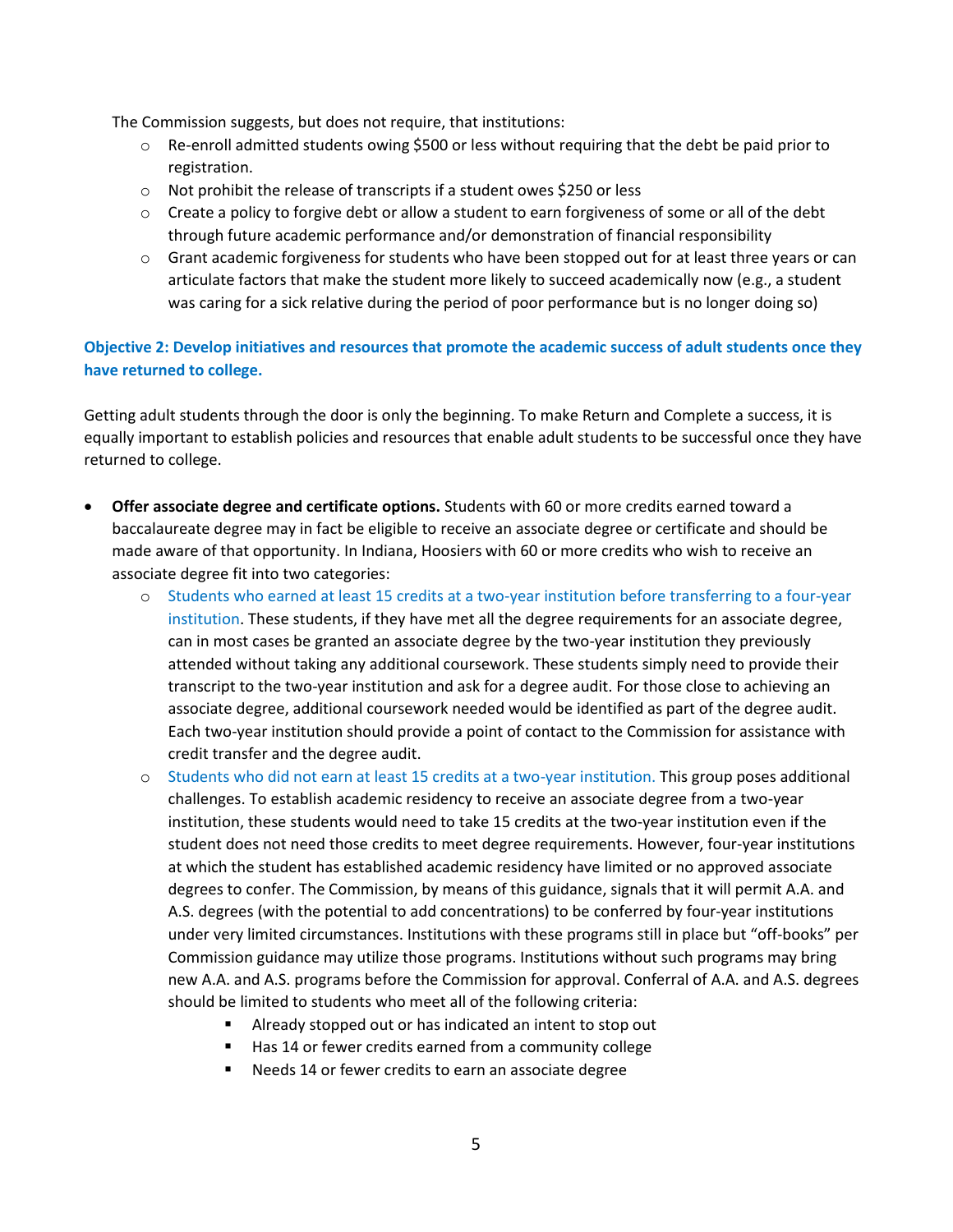The Commission suggests, but does not require, that institutions:

- o Re-enroll admitted students owing \$500 or less without requiring that the debt be paid prior to registration.
- o Not prohibit the release of transcripts if a student owes \$250 or less
- $\circ$  Create a policy to forgive debt or allow a student to earn forgiveness of some or all of the debt through future academic performance and/or demonstration of financial responsibility
- $\circ$  Grant academic forgiveness for students who have been stopped out for at least three years or can articulate factors that make the student more likely to succeed academically now (e.g., a student was caring for a sick relative during the period of poor performance but is no longer doing so)

**Objective 2: Develop initiatives and resources that promote the academic success of adult students once they have returned to college.**

Getting adult students through the door is only the beginning. To make Return and Complete a success, it is equally important to establish policies and resources that enable adult students to be successful once they have returned to college.

- **Offer associate degree and certificate options.** Students with 60 or more credits earned toward a baccalaureate degree may in fact be eligible to receive an associate degree or certificate and should be made aware of that opportunity. In Indiana, Hoosiers with 60 or more credits who wish to receive an associate degree fit into two categories:
	- o Students who earned at least 15 credits at a two-year institution before transferring to a four-year institution. These students, if they have met all the degree requirements for an associate degree, can in most cases be granted an associate degree by the two-year institution they previously attended without taking any additional coursework. These students simply need to provide their transcript to the two-year institution and ask for a degree audit. For those close to achieving an associate degree, additional coursework needed would be identified as part of the degree audit. Each two-year institution should provide a point of contact to the Commission for assistance with credit transfer and the degree audit.
	- o Students who did not earn at least 15 credits at a two-year institution. This group poses additional challenges. To establish academic residency to receive an associate degree from a two-year institution, these students would need to take 15 credits at the two-year institution even if the student does not need those credits to meet degree requirements. However, four-year institutions at which the student has established academic residency have limited or no approved associate degrees to confer. The Commission, by means of this guidance, signals that it will permit A.A. and A.S. degrees (with the potential to add concentrations) to be conferred by four-year institutions under very limited circumstances. Institutions with these programs still in place but "off-books" per Commission guidance may utilize those programs. Institutions without such programs may bring new A.A. and A.S. programs before the Commission for approval. Conferral of A.A. and A.S. degrees should be limited to students who meet all of the following criteria:
		- Already stopped out or has indicated an intent to stop out
		- Has 14 or fewer credits earned from a community college
		- **Needs 14 or fewer credits to earn an associate degree**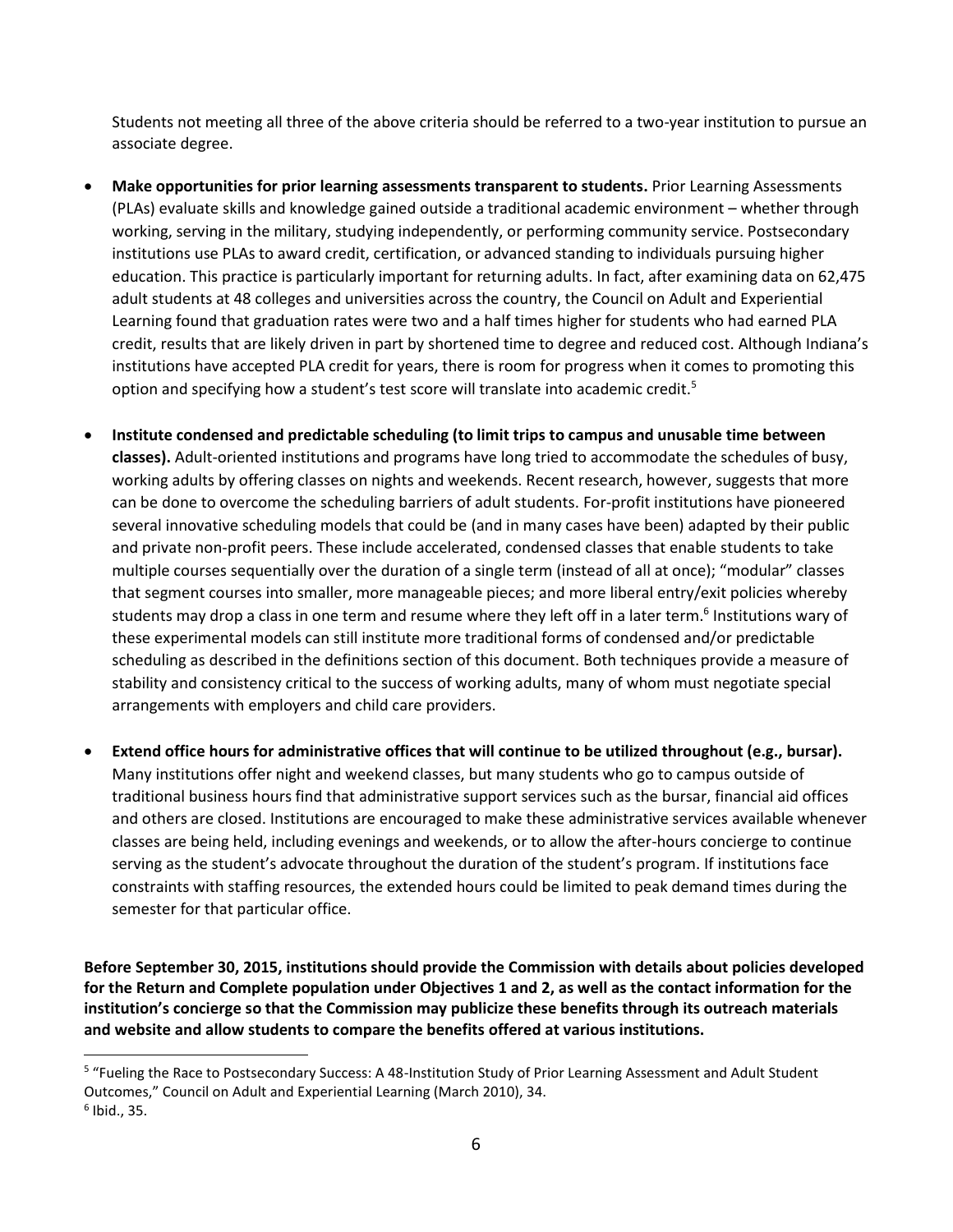Students not meeting all three of the above criteria should be referred to a two-year institution to pursue an associate degree.

- **Make opportunities for prior learning assessments transparent to students.** Prior Learning Assessments (PLAs) evaluate skills and knowledge gained outside a traditional academic environment – whether through working, serving in the military, studying independently, or performing community service. Postsecondary institutions use PLAs to award credit, certification, or advanced standing to individuals pursuing higher education. This practice is particularly important for returning adults. In fact, after examining data on 62,475 adult students at 48 colleges and universities across the country, the Council on Adult and Experiential Learning found that graduation rates were two and a half times higher for students who had earned PLA credit, results that are likely driven in part by shortened time to degree and reduced cost. Although Indiana's institutions have accepted PLA credit for years, there is room for progress when it comes to promoting this option and specifying how a student's test score will translate into academic credit.<sup>5</sup>
- **Institute condensed and predictable scheduling (to limit trips to campus and unusable time between classes).** Adult-oriented institutions and programs have long tried to accommodate the schedules of busy, working adults by offering classes on nights and weekends. Recent research, however, suggests that more can be done to overcome the scheduling barriers of adult students. For-profit institutions have pioneered several innovative scheduling models that could be (and in many cases have been) adapted by their public and private non-profit peers. These include accelerated, condensed classes that enable students to take multiple courses sequentially over the duration of a single term (instead of all at once); "modular" classes that segment courses into smaller, more manageable pieces; and more liberal entry/exit policies whereby students may drop a class in one term and resume where they left off in a later term.<sup>6</sup> Institutions wary of these experimental models can still institute more traditional forms of condensed and/or predictable scheduling as described in the definitions section of this document. Both techniques provide a measure of stability and consistency critical to the success of working adults, many of whom must negotiate special arrangements with employers and child care providers.
- **Extend office hours for administrative offices that will continue to be utilized throughout (e.g., bursar).** Many institutions offer night and weekend classes, but many students who go to campus outside of traditional business hours find that administrative support services such as the bursar, financial aid offices and others are closed. Institutions are encouraged to make these administrative services available whenever classes are being held, including evenings and weekends, or to allow the after-hours concierge to continue serving as the student's advocate throughout the duration of the student's program. If institutions face constraints with staffing resources, the extended hours could be limited to peak demand times during the semester for that particular office.

**Before September 30, 2015, institutions should provide the Commission with details about policies developed for the Return and Complete population under Objectives 1 and 2, as well as the contact information for the institution's concierge so that the Commission may publicize these benefits through its outreach materials and website and allow students to compare the benefits offered at various institutions.**

 $\overline{\phantom{a}}$ 

<sup>&</sup>lt;sup>5</sup> "Fueling the Race to Postsecondary Success: A 48-Institution Study of Prior Learning Assessment and Adult Student Outcomes," Council on Adult and Experiential Learning (March 2010), 34. 6 Ibid., 35.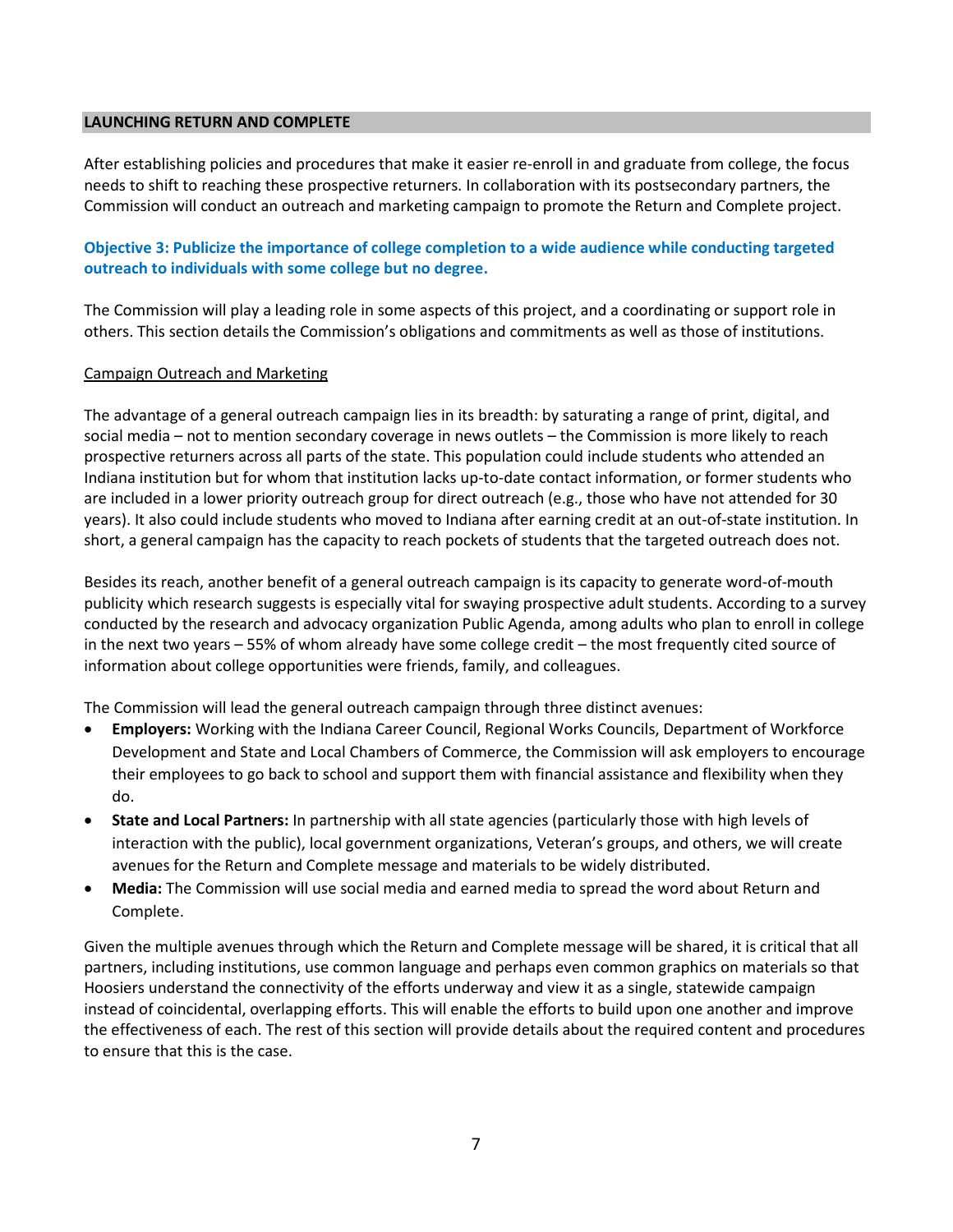#### **LAUNCHING RETURN AND COMPLETE**

After establishing policies and procedures that make it easier re-enroll in and graduate from college, the focus needs to shift to reaching these prospective returners. In collaboration with its postsecondary partners, the Commission will conduct an outreach and marketing campaign to promote the Return and Complete project.

## **Objective 3: Publicize the importance of college completion to a wide audience while conducting targeted outreach to individuals with some college but no degree.**

The Commission will play a leading role in some aspects of this project, and a coordinating or support role in others. This section details the Commission's obligations and commitments as well as those of institutions.

#### Campaign Outreach and Marketing

The advantage of a general outreach campaign lies in its breadth: by saturating a range of print, digital, and social media – not to mention secondary coverage in news outlets – the Commission is more likely to reach prospective returners across all parts of the state. This population could include students who attended an Indiana institution but for whom that institution lacks up-to-date contact information, or former students who are included in a lower priority outreach group for direct outreach (e.g., those who have not attended for 30 years). It also could include students who moved to Indiana after earning credit at an out-of-state institution. In short, a general campaign has the capacity to reach pockets of students that the targeted outreach does not.

Besides its reach, another benefit of a general outreach campaign is its capacity to generate word-of-mouth publicity which research suggests is especially vital for swaying prospective adult students. According to a survey conducted by the research and advocacy organization Public Agenda, among adults who plan to enroll in college in the next two years – 55% of whom already have some college credit – the most frequently cited source of information about college opportunities were friends, family, and colleagues.

The Commission will lead the general outreach campaign through three distinct avenues:

- **Employers:** Working with the Indiana Career Council, Regional Works Councils, Department of Workforce Development and State and Local Chambers of Commerce, the Commission will ask employers to encourage their employees to go back to school and support them with financial assistance and flexibility when they do.
- **State and Local Partners:** In partnership with all state agencies (particularly those with high levels of interaction with the public), local government organizations, Veteran's groups, and others, we will create avenues for the Return and Complete message and materials to be widely distributed.
- **Media:** The Commission will use social media and earned media to spread the word about Return and Complete.

Given the multiple avenues through which the Return and Complete message will be shared, it is critical that all partners, including institutions, use common language and perhaps even common graphics on materials so that Hoosiers understand the connectivity of the efforts underway and view it as a single, statewide campaign instead of coincidental, overlapping efforts. This will enable the efforts to build upon one another and improve the effectiveness of each. The rest of this section will provide details about the required content and procedures to ensure that this is the case.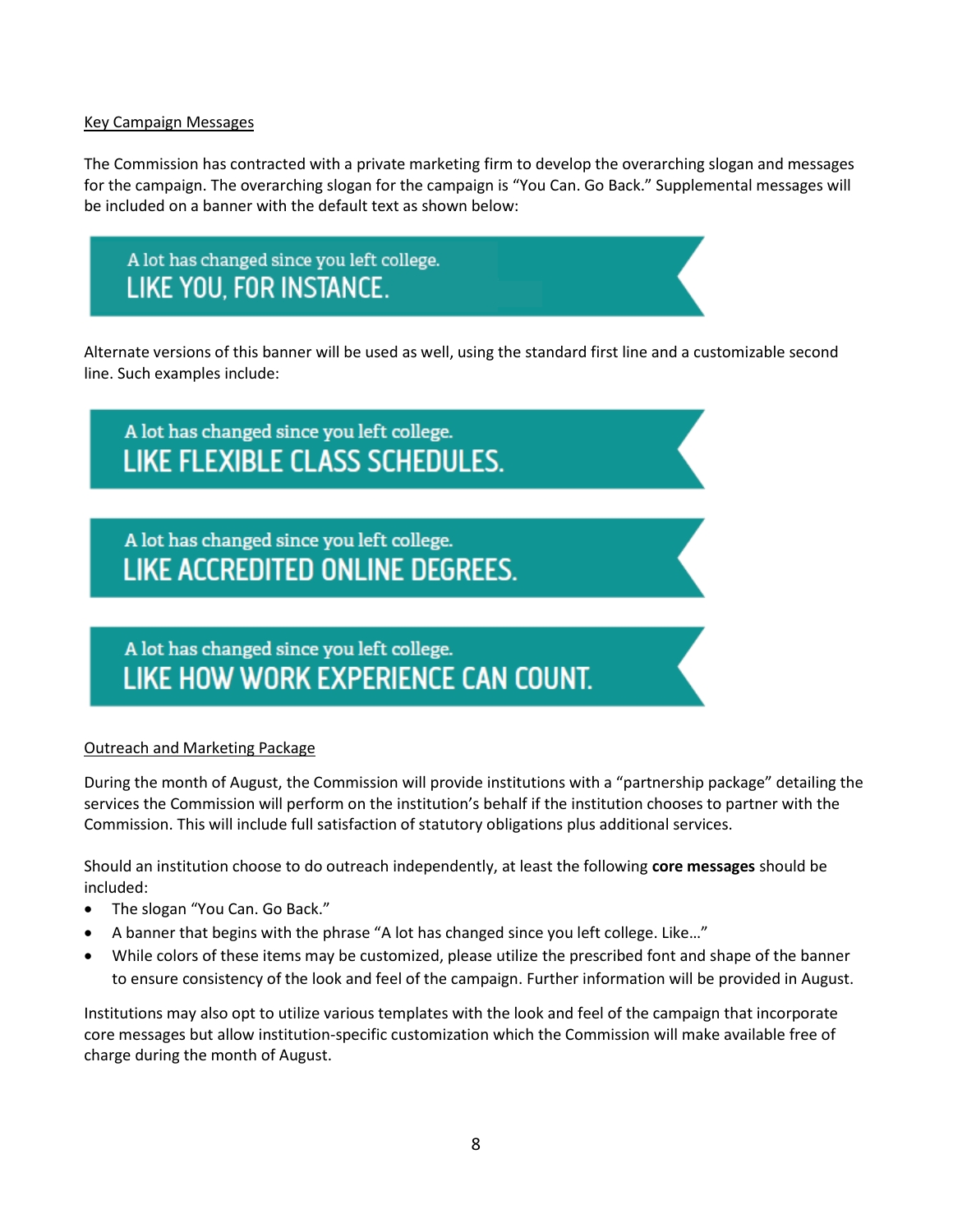#### Key Campaign Messages

The Commission has contracted with a private marketing firm to develop the overarching slogan and messages for the campaign. The overarching slogan for the campaign is "You Can. Go Back." Supplemental messages will be included on a banner with the default text as shown below:

A lot has changed since you left college. LIKE YOU, FOR INSTANCE.

Alternate versions of this banner will be used as well, using the standard first line and a customizable second line. Such examples include:

# A lot has changed since you left college. **LIKE FLEXIBLE CLASS SCHEDULES.**

A lot has changed since you left college. **LIKE ACCREDITED ONLINE DEGREES.** 

# A lot has changed since you left college. LIKE HOW WORK EXPERIENCE CAN COUNT.

## Outreach and Marketing Package

During the month of August, the Commission will provide institutions with a "partnership package" detailing the services the Commission will perform on the institution's behalf if the institution chooses to partner with the Commission. This will include full satisfaction of statutory obligations plus additional services.

Should an institution choose to do outreach independently, at least the following **core messages** should be included:

- The slogan "You Can. Go Back."
- A banner that begins with the phrase "A lot has changed since you left college. Like…"
- While colors of these items may be customized, please utilize the prescribed font and shape of the banner to ensure consistency of the look and feel of the campaign. Further information will be provided in August.

Institutions may also opt to utilize various templates with the look and feel of the campaign that incorporate core messages but allow institution-specific customization which the Commission will make available free of charge during the month of August.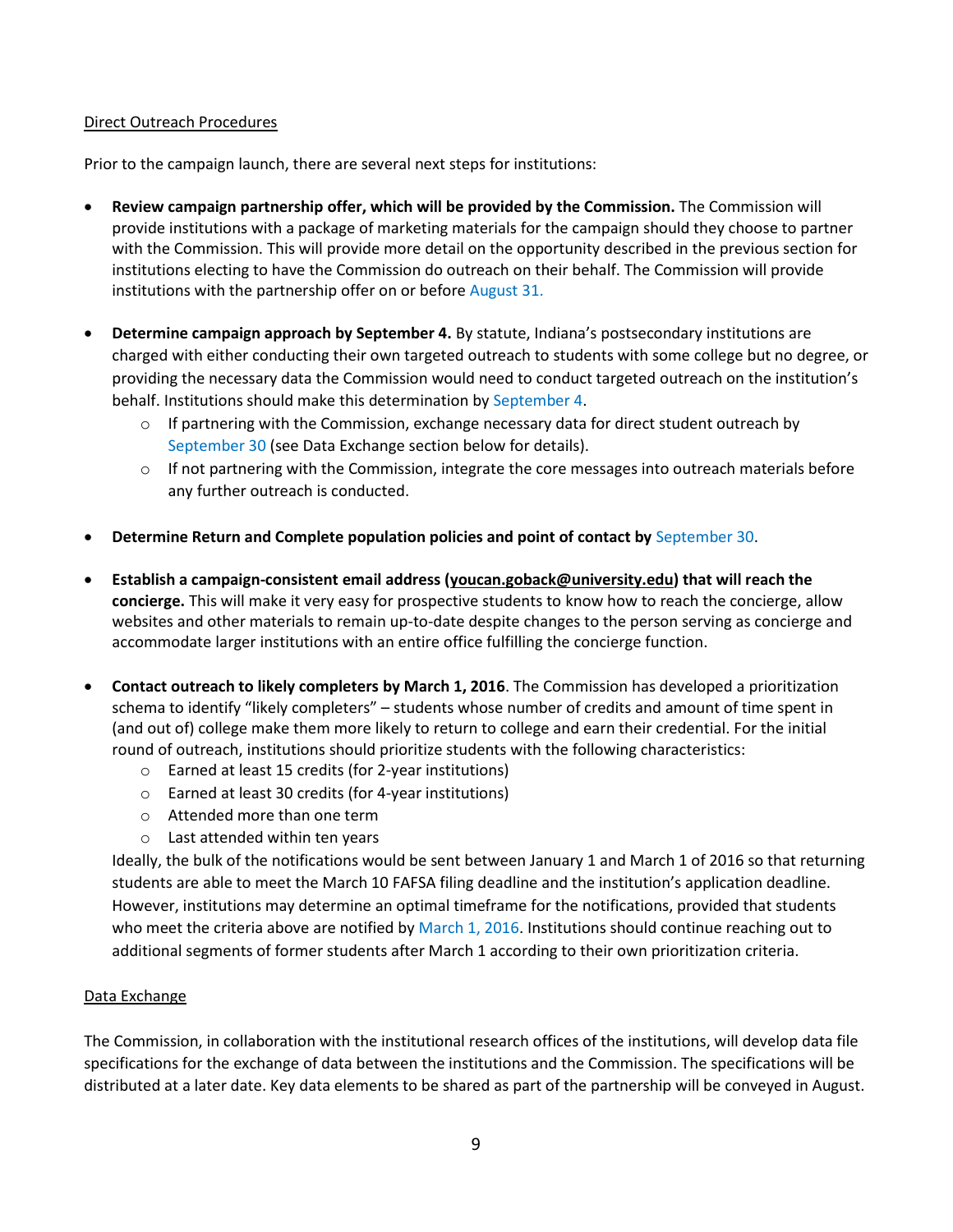#### Direct Outreach Procedures

Prior to the campaign launch, there are several next steps for institutions:

- **Review campaign partnership offer, which will be provided by the Commission.** The Commission will provide institutions with a package of marketing materials for the campaign should they choose to partner with the Commission. This will provide more detail on the opportunity described in the previous section for institutions electing to have the Commission do outreach on their behalf. The Commission will provide institutions with the partnership offer on or before August 31.
- **Determine campaign approach by September 4.** By statute, Indiana's postsecondary institutions are charged with either conducting their own targeted outreach to students with some college but no degree, or providing the necessary data the Commission would need to conduct targeted outreach on the institution's behalf. Institutions should make this determination by September 4.
	- $\circ$  If partnering with the Commission, exchange necessary data for direct student outreach by September 30 (see Data Exchange section below for details).
	- $\circ$  If not partnering with the Commission, integrate the core messages into outreach materials before any further outreach is conducted.
- **Determine Return and Complete population policies and point of contact by** September 30.
- **Establish a campaign-consistent email address (youcan.goback@university.edu) that will reach the concierge.** This will make it very easy for prospective students to know how to reach the concierge, allow websites and other materials to remain up-to-date despite changes to the person serving as concierge and accommodate larger institutions with an entire office fulfilling the concierge function.
- **Contact outreach to likely completers by March 1, 2016**. The Commission has developed a prioritization schema to identify "likely completers" – students whose number of credits and amount of time spent in (and out of) college make them more likely to return to college and earn their credential. For the initial round of outreach, institutions should prioritize students with the following characteristics:
	- o Earned at least 15 credits (for 2-year institutions)
	- o Earned at least 30 credits (for 4-year institutions)
	- o Attended more than one term
	- o Last attended within ten years

Ideally, the bulk of the notifications would be sent between January 1 and March 1 of 2016 so that returning students are able to meet the March 10 FAFSA filing deadline and the institution's application deadline. However, institutions may determine an optimal timeframe for the notifications, provided that students who meet the criteria above are notified by March 1, 2016. Institutions should continue reaching out to additional segments of former students after March 1 according to their own prioritization criteria.

#### Data Exchange

The Commission, in collaboration with the institutional research offices of the institutions, will develop data file specifications for the exchange of data between the institutions and the Commission. The specifications will be distributed at a later date. Key data elements to be shared as part of the partnership will be conveyed in August.